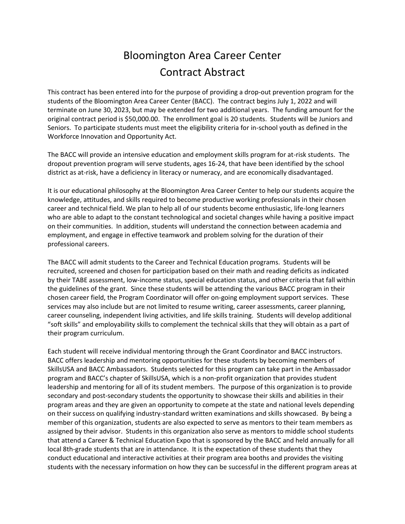## Bloomington Area Career Center Contract Abstract

This contract has been entered into for the purpose of providing a drop-out prevention program for the students of the Bloomington Area Career Center (BACC). The contract begins July 1, 2022 and will terminate on June 30, 2023, but may be extended for two additional years. The funding amount for the original contract period is \$50,000.00. The enrollment goal is 20 students. Students will be Juniors and Seniors. To participate students must meet the eligibility criteria for in-school youth as defined in the Workforce Innovation and Opportunity Act.

The BACC will provide an intensive education and employment skills program for at-risk students. The dropout prevention program will serve students, ages 16-24, that have been identified by the school district as at-risk, have a deficiency in literacy or numeracy, and are economically disadvantaged.

It is our educational philosophy at the Bloomington Area Career Center to help our students acquire the knowledge, attitudes, and skills required to become productive working professionals in their chosen career and technical field. We plan to help all of our students become enthusiastic, life-long learners who are able to adapt to the constant technological and societal changes while having a positive impact on their communities. In addition, students will understand the connection between academia and employment, and engage in effective teamwork and problem solving for the duration of their professional careers.

The BACC will admit students to the Career and Technical Education programs. Students will be recruited, screened and chosen for participation based on their math and reading deficits as indicated by their TABE assessment, low-income status, special education status, and other criteria that fall within the guidelines of the grant. Since these students will be attending the various BACC program in their chosen career field, the Program Coordinator will offer on-going employment support services. These services may also include but are not limited to resume writing, career assessments, career planning, career counseling, independent living activities, and life skills training. Students will develop additional "soft skills" and employability skills to complement the technical skills that they will obtain as a part of their program curriculum.

Each student will receive individual mentoring through the Grant Coordinator and BACC instructors. BACC offers leadership and mentoring opportunities for these students by becoming members of SkillsUSA and BACC Ambassadors. Students selected for this program can take part in the Ambassador program and BACC's chapter of SkillsUSA, which is a non-profit organization that provides student leadership and mentoring for all of its student members. The purpose of this organization is to provide secondary and post-secondary students the opportunity to showcase their skills and abilities in their program areas and they are given an opportunity to compete at the state and national levels depending on their success on qualifying industry-standard written examinations and skills showcased. By being a member of this organization, students are also expected to serve as mentors to their team members as assigned by their advisor. Students in this organization also serve as mentors to middle school students that attend a Career & Technical Education Expo that is sponsored by the BACC and held annually for all local 8th-grade students that are in attendance. It is the expectation of these students that they conduct educational and interactive activities at their program area booths and provides the visiting students with the necessary information on how they can be successful in the different program areas at